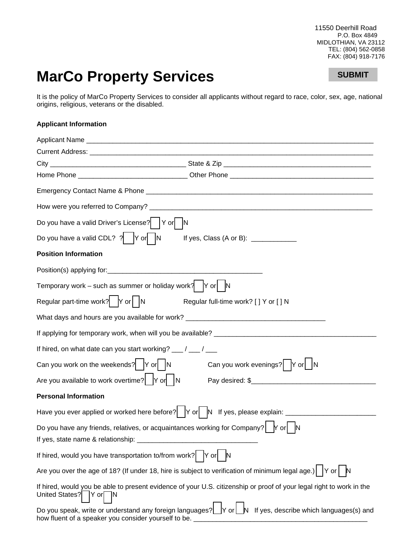11550 Deerhill Road P.O. Box 4849 MIDLOTHIAN, VA 23112 TEL: (804) 562-0858 FAX: (804) 918-7176

## **MarCo Property Services**

## **SUBMIT**

It is the policy of MarCo Property Services to consider all applicants without regard to race, color, sex, age, national origins, religious, veterans or the disabled.

## **Applicant Information**

| Do you have a valid Driver's License?   Y or   N                                                                                                                            |
|-----------------------------------------------------------------------------------------------------------------------------------------------------------------------------|
| Do you have a valid CDL? $? \begin{vmatrix} \text{Y} & \text{I} \end{vmatrix}$ N If yes, Class (A or B): ___________                                                        |
| <b>Position Information</b>                                                                                                                                                 |
|                                                                                                                                                                             |
| Temporary work – such as summer or holiday work? $ Y \text{ or }  $ N                                                                                                       |
| Regular part-time work?   Y or    N<br>Regular full-time work? [ ] Y or [ ] N                                                                                               |
| What days and hours are you available for work? ________________________________                                                                                            |
|                                                                                                                                                                             |
| If hired, on what date can you start working? __/ __/ __                                                                                                                    |
| Can you work on the weekends? $ Y \text{ or }   N$<br>Can you work evenings? Y or∐N                                                                                         |
| Are you available to work overtime? Y or N                                                                                                                                  |
| <b>Personal Information</b>                                                                                                                                                 |
|                                                                                                                                                                             |
| Do you have any friends, relatives, or acquaintances working for Company? $\left  \right $ $\left  \right $ or $\left  \right $ $\left  \right $                            |
| If yes, state name & relationship:                                                                                                                                          |
| If hired, would you have transportation to/from work? $ Y \text{ or} $<br>N                                                                                                 |
| Are you over the age of 18? (If under 18, hire is subject to verification of minimum legal age.)   $ Y \text{ or }  $ N                                                     |
| If hired, would you be able to present evidence of your U.S. citizenship or proof of your legal right to work in the<br>United States? Y or N                               |
| Do you speak, write or understand any foreign languages? $\Box$ Y or $\Box$ If yes, describe which languages(s) and<br>how fluent of a speaker you consider yourself to be. |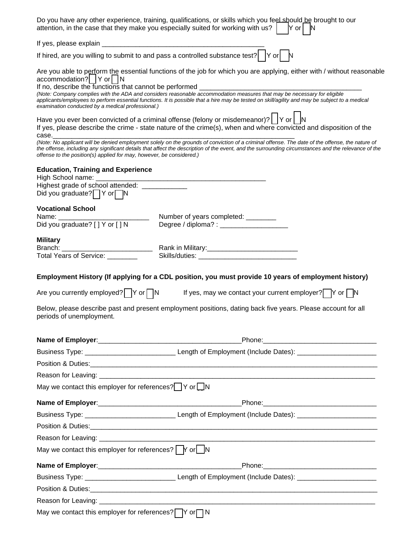|                                                                                                                                          | Do you have any other experience, training, qualifications, or skills which you feel should be brought to our<br>attention, in the case that they make you especially suited for working with us? $\begin{bmatrix} \mathsf{Y} \text{ or} \end{bmatrix} \mathsf{N}$                                                                                                                                                                                                                                                                                |
|------------------------------------------------------------------------------------------------------------------------------------------|---------------------------------------------------------------------------------------------------------------------------------------------------------------------------------------------------------------------------------------------------------------------------------------------------------------------------------------------------------------------------------------------------------------------------------------------------------------------------------------------------------------------------------------------------|
|                                                                                                                                          |                                                                                                                                                                                                                                                                                                                                                                                                                                                                                                                                                   |
|                                                                                                                                          | If hired, are you willing to submit to and pass a controlled substance test? $\Box$ Y or $\Box$                                                                                                                                                                                                                                                                                                                                                                                                                                                   |
| accommodation?   Y or   N<br>If no, describe the functions that cannot be performed<br>examination conducted by a medical professional.) | Are you able to perform the essential functions of the job for which you are applying, either with / without reasonable<br>(Note: Company complies with the ADA and considers reasonable accommodation measures that may be necessary for eligible<br>applicants/employees to perform essential functions. It is possible that a hire may be tested on skill/agility and may be subject to a medical                                                                                                                                              |
| case.                                                                                                                                    | Have you ever been convicted of a criminal offense (felony or misdemeanor)? $\vert \ \vert$ Y or $\vert \ \vert$ N<br>If yes, please describe the crime - state nature of the crime(s), when and where convicted and disposition of the<br>(Note: No applicant will be denied employment solely on the grounds of conviction of a criminal offense. The date of the offense, the nature of<br>the offense, including any significant details that affect the description of the event, and the surrounding circumstances and the relevance of the |
| offense to the position(s) applied for may, however, be considered.)                                                                     |                                                                                                                                                                                                                                                                                                                                                                                                                                                                                                                                                   |
| <b>Education, Training and Experience</b>                                                                                                |                                                                                                                                                                                                                                                                                                                                                                                                                                                                                                                                                   |
| Highest grade of school attended: ______________                                                                                         |                                                                                                                                                                                                                                                                                                                                                                                                                                                                                                                                                   |
| Did you graduate?   Y or N                                                                                                               |                                                                                                                                                                                                                                                                                                                                                                                                                                                                                                                                                   |
| <b>Vocational School</b>                                                                                                                 |                                                                                                                                                                                                                                                                                                                                                                                                                                                                                                                                                   |
|                                                                                                                                          |                                                                                                                                                                                                                                                                                                                                                                                                                                                                                                                                                   |
|                                                                                                                                          | Degree / diploma? : _______________________                                                                                                                                                                                                                                                                                                                                                                                                                                                                                                       |
| <b>Military</b>                                                                                                                          |                                                                                                                                                                                                                                                                                                                                                                                                                                                                                                                                                   |
|                                                                                                                                          |                                                                                                                                                                                                                                                                                                                                                                                                                                                                                                                                                   |
|                                                                                                                                          | Are you currently employed? $\Box Y$ or $\Box N$ If yes, may we contact your current employer? $\Box Y$ or $\Box N$<br>Below, please describe past and present employment positions, dating back five years. Please account for all                                                                                                                                                                                                                                                                                                               |
| periods of unemployment.                                                                                                                 |                                                                                                                                                                                                                                                                                                                                                                                                                                                                                                                                                   |
|                                                                                                                                          |                                                                                                                                                                                                                                                                                                                                                                                                                                                                                                                                                   |
|                                                                                                                                          |                                                                                                                                                                                                                                                                                                                                                                                                                                                                                                                                                   |
|                                                                                                                                          |                                                                                                                                                                                                                                                                                                                                                                                                                                                                                                                                                   |
|                                                                                                                                          |                                                                                                                                                                                                                                                                                                                                                                                                                                                                                                                                                   |
| May we contact this employer for references? Yor N                                                                                       |                                                                                                                                                                                                                                                                                                                                                                                                                                                                                                                                                   |
|                                                                                                                                          |                                                                                                                                                                                                                                                                                                                                                                                                                                                                                                                                                   |
|                                                                                                                                          |                                                                                                                                                                                                                                                                                                                                                                                                                                                                                                                                                   |
|                                                                                                                                          |                                                                                                                                                                                                                                                                                                                                                                                                                                                                                                                                                   |
|                                                                                                                                          |                                                                                                                                                                                                                                                                                                                                                                                                                                                                                                                                                   |
| May we contact this employer for references? $\Box Y$ or $\Box N$                                                                        |                                                                                                                                                                                                                                                                                                                                                                                                                                                                                                                                                   |
|                                                                                                                                          |                                                                                                                                                                                                                                                                                                                                                                                                                                                                                                                                                   |
|                                                                                                                                          |                                                                                                                                                                                                                                                                                                                                                                                                                                                                                                                                                   |
|                                                                                                                                          |                                                                                                                                                                                                                                                                                                                                                                                                                                                                                                                                                   |
|                                                                                                                                          |                                                                                                                                                                                                                                                                                                                                                                                                                                                                                                                                                   |
| May we contact this employer for references? $\Box Y$ or $\Box N$                                                                        |                                                                                                                                                                                                                                                                                                                                                                                                                                                                                                                                                   |